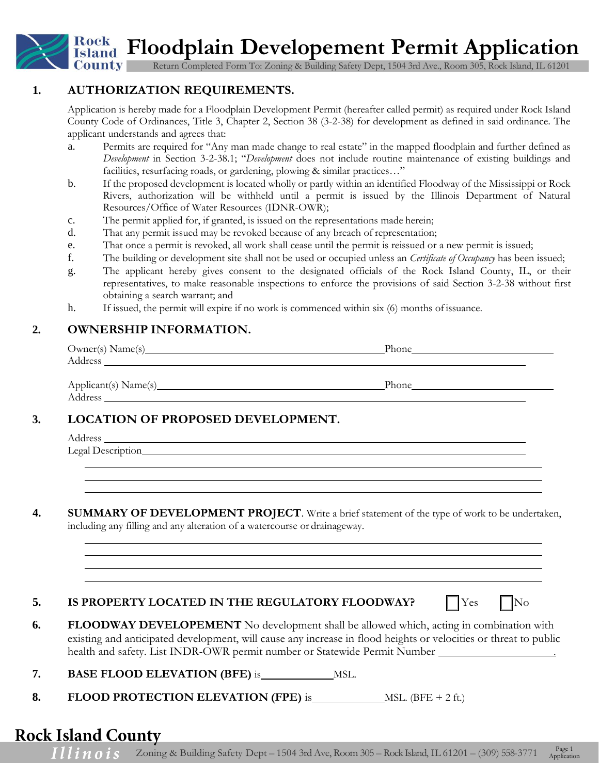**Floodplain Developement Permit Application**<br>County Return Completed Form To: Zoning & Building Safety Dept, 1504 3rd Ave., Room 305, Rock Island, IL 61201

Return Completed Form To: Zoning & Building Safety Dept, 1504 3rd Ave., Room 305, Rock Island, IL 61201

# **1. AUTHORIZATION REQUIREMENTS.**

Application is hereby made for a Floodplain Development Permit (hereafter called permit) as required under Rock Island County Code of Ordinances, Title 3, Chapter 2, Section 38 (3-2-38) for development as defined in said ordinance. The applicant understands and agrees that:

- a. Permits are required for "Any man made change to real estate" in the mapped floodplain and further defined as *Development* in Section 3-2-38.1; "*Development* does not include routine maintenance of existing buildings and facilities, resurfacing roads, or gardening, plowing & similar practices…"
- b. If the proposed development is located wholly or partly within an identified Floodway of the Mississippi or Rock Rivers, authorization will be withheld until a permit is issued by the Illinois Department of Natural Resources/Office of Water Resources (IDNR-OWR);
- c. The permit applied for, if granted, is issued on the representations made herein;
- d. That any permit issued may be revoked because of any breach of representation;
- e. That once a permit is revoked, all work shall cease until the permit is reissued or a new permit is issued;
- f. The building or development site shall not be used or occupied unless an *Certificate of Occupancy* has been issued;
- g. The applicant hereby gives consent to the designated officials of the Rock Island County, IL, or their representatives, to make reasonable inspections to enforce the provisions of said Section 3-2-38 without first obtaining a search warrant; and

<u> 1989 - Johann Stoff, deutscher Stoffen und der Stoffen und der Stoffen und der Stoffen und der Stoffen und de</u>

h. If issued, the permit will expire if no work is commenced within six (6) months of issuance.

## **2. OWNERSHIP INFORMATION.**

| Owner(s) Name(s)      | Phone |  |
|-----------------------|-------|--|
| Address               |       |  |
|                       |       |  |
| Applicant(s) Name(s)_ | Phone |  |

# **3. LOCATION OF PROPOSED DEVELOPMENT.**

Address

Address

Legal Description

**4. SUMMARY OF DEVELOPMENT PROJECT**. Write a brief statement of the type of work to be undertaken, including any filling and any alteration of a watercourse or drainageway.

### **5. IS PROPERTY LOCATED IN THE REGULATORY FLOODWAY?**  $\bigcap$  Yes  $\bigcap$  No

- 
- **6. FLOODWAY DEVELOPEMENT** No development shall be allowed which, acting in combination with existing and anticipated development, will cause any increase in flood heights or velocities or threat to public health and safety. List INDR-OWR permit number or Statewide Permit Number .
- **7. BASE FLOOD ELEVATION (BFE)** is MSL.
- **8. FLOOD PROTECTION ELEVATION (FPE)** is  $MSL$  (BFE + 2 ft.)

*i o i s* Zoning & Building Safety Dept – 1504 3rd Ave, Room 305 – Rock Island, IL 61201 – (309) 558-3771 <sup>Page 1</sup> Application